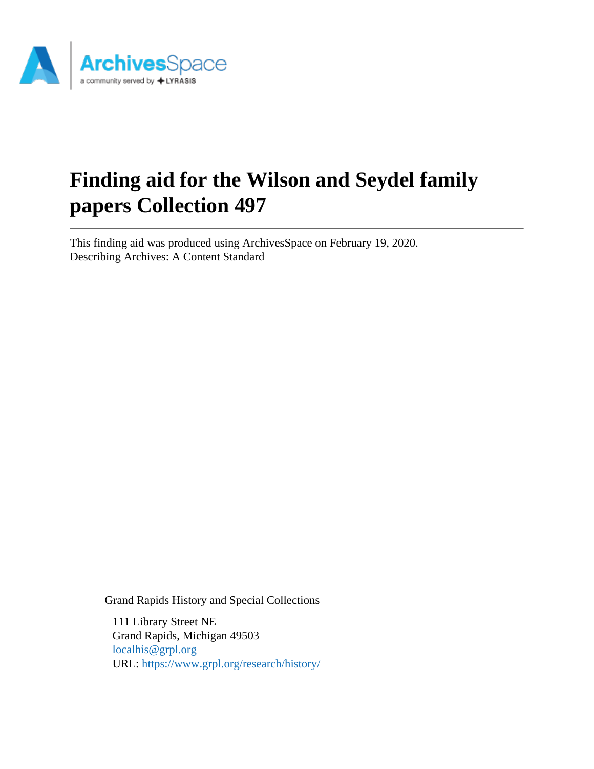

# **Finding aid for the Wilson and Seydel family papers Collection 497**

This finding aid was produced using ArchivesSpace on February 19, 2020. Describing Archives: A Content Standard

Grand Rapids History and Special Collections

111 Library Street NE Grand Rapids, Michigan 49503 [localhis@grpl.org](mailto:localhis@grpl.org) URL:<https://www.grpl.org/research/history/>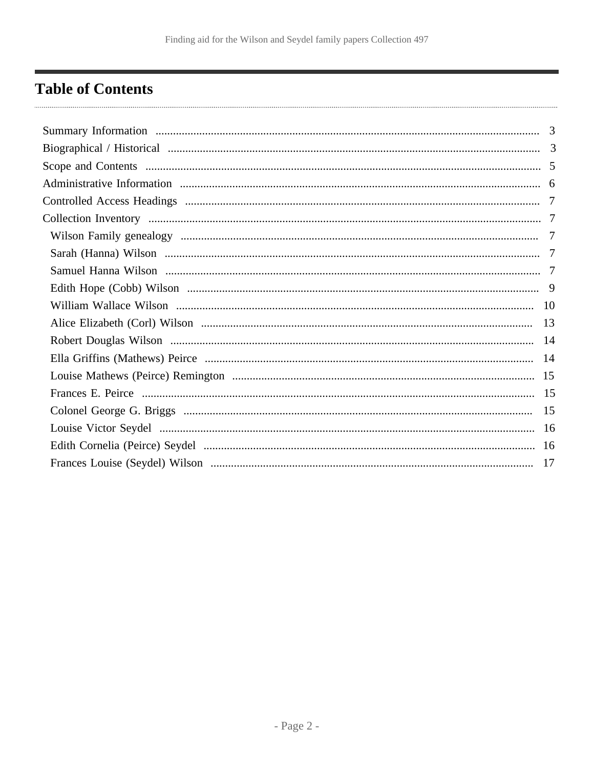# <span id="page-1-0"></span>**Table of Contents**

| 3 |
|---|
|   |
|   |
|   |
|   |
|   |
|   |
|   |
| 7 |
|   |
|   |
|   |
|   |
|   |
|   |
|   |
|   |
|   |
|   |
|   |
|   |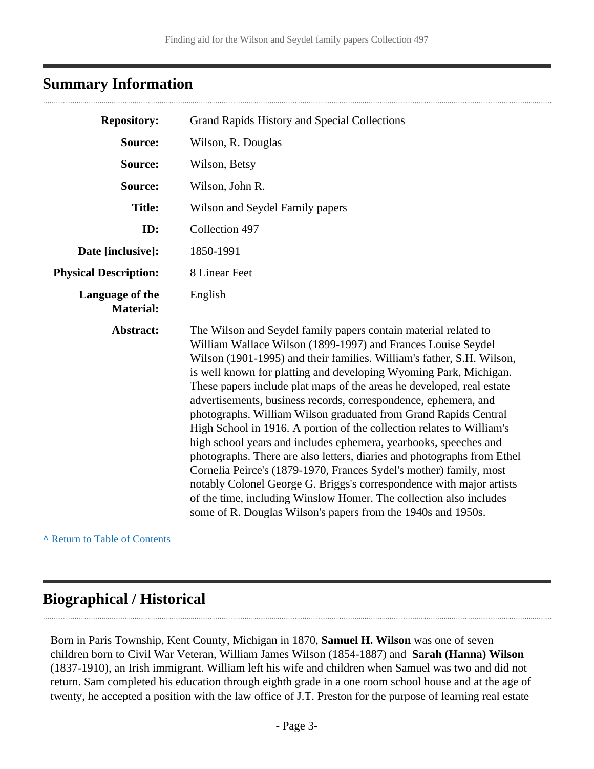### <span id="page-2-0"></span>**Summary Information**

| <b>Repository:</b>                  | Grand Rapids History and Special Collections                                                                                                                                                                                                                                                                                                                                                                                                                                                                                                                                                                                                                                                                                                                                                                                                                                                                                                                                                             |  |
|-------------------------------------|----------------------------------------------------------------------------------------------------------------------------------------------------------------------------------------------------------------------------------------------------------------------------------------------------------------------------------------------------------------------------------------------------------------------------------------------------------------------------------------------------------------------------------------------------------------------------------------------------------------------------------------------------------------------------------------------------------------------------------------------------------------------------------------------------------------------------------------------------------------------------------------------------------------------------------------------------------------------------------------------------------|--|
| Source:                             | Wilson, R. Douglas                                                                                                                                                                                                                                                                                                                                                                                                                                                                                                                                                                                                                                                                                                                                                                                                                                                                                                                                                                                       |  |
| Source:                             | Wilson, Betsy                                                                                                                                                                                                                                                                                                                                                                                                                                                                                                                                                                                                                                                                                                                                                                                                                                                                                                                                                                                            |  |
| Source:                             | Wilson, John R.                                                                                                                                                                                                                                                                                                                                                                                                                                                                                                                                                                                                                                                                                                                                                                                                                                                                                                                                                                                          |  |
| <b>Title:</b>                       | Wilson and Seydel Family papers                                                                                                                                                                                                                                                                                                                                                                                                                                                                                                                                                                                                                                                                                                                                                                                                                                                                                                                                                                          |  |
| ID:                                 | Collection 497                                                                                                                                                                                                                                                                                                                                                                                                                                                                                                                                                                                                                                                                                                                                                                                                                                                                                                                                                                                           |  |
| Date [inclusive]:                   | 1850-1991                                                                                                                                                                                                                                                                                                                                                                                                                                                                                                                                                                                                                                                                                                                                                                                                                                                                                                                                                                                                |  |
| <b>Physical Description:</b>        | 8 Linear Feet                                                                                                                                                                                                                                                                                                                                                                                                                                                                                                                                                                                                                                                                                                                                                                                                                                                                                                                                                                                            |  |
| Language of the<br><b>Material:</b> | English                                                                                                                                                                                                                                                                                                                                                                                                                                                                                                                                                                                                                                                                                                                                                                                                                                                                                                                                                                                                  |  |
| Abstract:                           | The Wilson and Seydel family papers contain material related to<br>William Wallace Wilson (1899-1997) and Frances Louise Seydel<br>Wilson (1901-1995) and their families. William's father, S.H. Wilson,<br>is well known for platting and developing Wyoming Park, Michigan.<br>These papers include plat maps of the areas he developed, real estate<br>advertisements, business records, correspondence, ephemera, and<br>photographs. William Wilson graduated from Grand Rapids Central<br>High School in 1916. A portion of the collection relates to William's<br>high school years and includes ephemera, yearbooks, speeches and<br>photographs. There are also letters, diaries and photographs from Ethel<br>Cornelia Peirce's (1879-1970, Frances Sydel's mother) family, most<br>notably Colonel George G. Briggs's correspondence with major artists<br>of the time, including Winslow Homer. The collection also includes<br>some of R. Douglas Wilson's papers from the 1940s and 1950s. |  |

**^** [Return to Table of Contents](#page-1-0)

### <span id="page-2-1"></span>**Biographical / Historical**

Born in Paris Township, Kent County, Michigan in 1870, **Samuel H. Wilson** was one of seven children born to Civil War Veteran, William James Wilson (1854-1887) and **Sarah (Hanna) Wilson** (1837-1910), an Irish immigrant. William left his wife and children when Samuel was two and did not return. Sam completed his education through eighth grade in a one room school house and at the age of twenty, he accepted a position with the law office of J.T. Preston for the purpose of learning real estate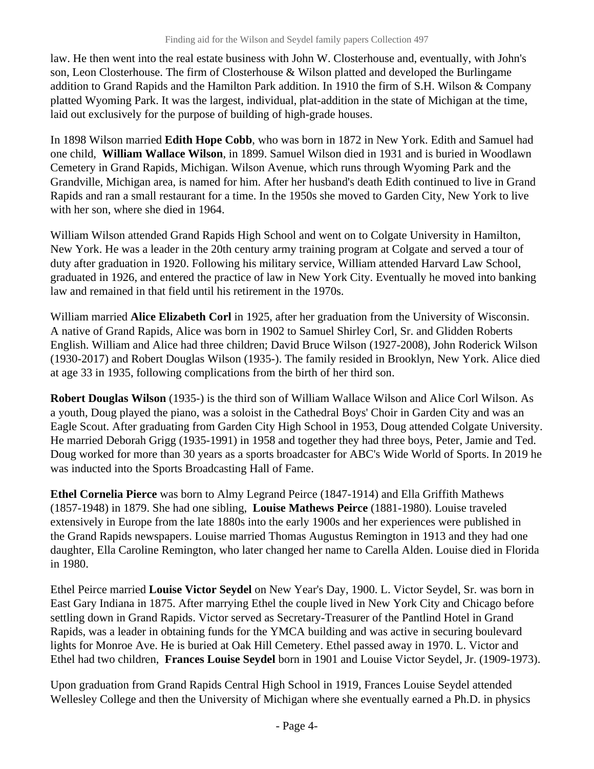law. He then went into the real estate business with John W. Closterhouse and, eventually, with John's son, Leon Closterhouse. The firm of Closterhouse & Wilson platted and developed the Burlingame addition to Grand Rapids and the Hamilton Park addition. In 1910 the firm of S.H. Wilson & Company platted Wyoming Park. It was the largest, individual, plat-addition in the state of Michigan at the time, laid out exclusively for the purpose of building of high-grade houses.

In 1898 Wilson married **Edith Hope Cobb**, who was born in 1872 in New York. Edith and Samuel had one child, **William Wallace Wilson**, in 1899. Samuel Wilson died in 1931 and is buried in Woodlawn Cemetery in Grand Rapids, Michigan. Wilson Avenue, which runs through Wyoming Park and the Grandville, Michigan area, is named for him. After her husband's death Edith continued to live in Grand Rapids and ran a small restaurant for a time. In the 1950s she moved to Garden City, New York to live with her son, where she died in 1964.

William Wilson attended Grand Rapids High School and went on to Colgate University in Hamilton, New York. He was a leader in the 20th century army training program at Colgate and served a tour of duty after graduation in 1920. Following his military service, William attended Harvard Law School, graduated in 1926, and entered the practice of law in New York City. Eventually he moved into banking law and remained in that field until his retirement in the 1970s.

William married **Alice Elizabeth Corl** in 1925, after her graduation from the University of Wisconsin. A native of Grand Rapids, Alice was born in 1902 to Samuel Shirley Corl, Sr. and Glidden Roberts English. William and Alice had three children; David Bruce Wilson (1927-2008), John Roderick Wilson (1930-2017) and Robert Douglas Wilson (1935-). The family resided in Brooklyn, New York. Alice died at age 33 in 1935, following complications from the birth of her third son.

**Robert Douglas Wilson** (1935-) is the third son of William Wallace Wilson and Alice Corl Wilson. As a youth, Doug played the piano, was a soloist in the Cathedral Boys' Choir in Garden City and was an Eagle Scout. After graduating from Garden City High School in 1953, Doug attended Colgate University. He married Deborah Grigg (1935-1991) in 1958 and together they had three boys, Peter, Jamie and Ted. Doug worked for more than 30 years as a sports broadcaster for ABC's Wide World of Sports. In 2019 he was inducted into the Sports Broadcasting Hall of Fame.

**Ethel Cornelia Pierce** was born to Almy Legrand Peirce (1847-1914) and Ella Griffith Mathews (1857-1948) in 1879. She had one sibling, **Louise Mathews Peirce** (1881-1980). Louise traveled extensively in Europe from the late 1880s into the early 1900s and her experiences were published in the Grand Rapids newspapers. Louise married Thomas Augustus Remington in 1913 and they had one daughter, Ella Caroline Remington, who later changed her name to Carella Alden. Louise died in Florida in 1980.

Ethel Peirce married **Louise Victor Seydel** on New Year's Day, 1900. L. Victor Seydel, Sr. was born in East Gary Indiana in 1875. After marrying Ethel the couple lived in New York City and Chicago before settling down in Grand Rapids. Victor served as Secretary-Treasurer of the Pantlind Hotel in Grand Rapids, was a leader in obtaining funds for the YMCA building and was active in securing boulevard lights for Monroe Ave. He is buried at Oak Hill Cemetery. Ethel passed away in 1970. L. Victor and Ethel had two children, **Frances Louise Seydel** born in 1901 and Louise Victor Seydel, Jr. (1909-1973).

Upon graduation from Grand Rapids Central High School in 1919, Frances Louise Seydel attended Wellesley College and then the University of Michigan where she eventually earned a Ph.D. in physics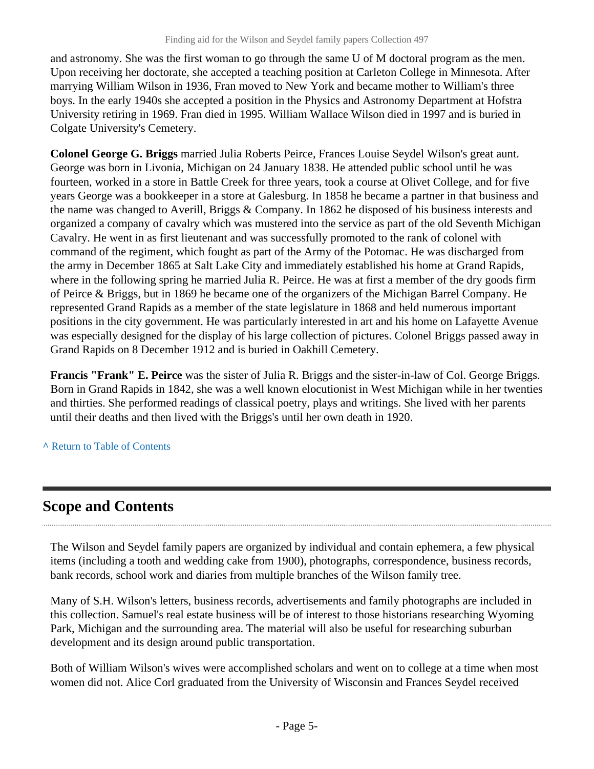and astronomy. She was the first woman to go through the same U of M doctoral program as the men. Upon receiving her doctorate, she accepted a teaching position at Carleton College in Minnesota. After marrying William Wilson in 1936, Fran moved to New York and became mother to William's three boys. In the early 1940s she accepted a position in the Physics and Astronomy Department at Hofstra University retiring in 1969. Fran died in 1995. William Wallace Wilson died in 1997 and is buried in Colgate University's Cemetery.

**Colonel George G. Briggs** married Julia Roberts Peirce, Frances Louise Seydel Wilson's great aunt. George was born in Livonia, Michigan on 24 January 1838. He attended public school until he was fourteen, worked in a store in Battle Creek for three years, took a course at Olivet College, and for five years George was a bookkeeper in a store at Galesburg. In 1858 he became a partner in that business and the name was changed to Averill, Briggs & Company. In 1862 he disposed of his business interests and organized a company of cavalry which was mustered into the service as part of the old Seventh Michigan Cavalry. He went in as first lieutenant and was successfully promoted to the rank of colonel with command of the regiment, which fought as part of the Army of the Potomac. He was discharged from the army in December 1865 at Salt Lake City and immediately established his home at Grand Rapids, where in the following spring he married Julia R. Peirce. He was at first a member of the dry goods firm of Peirce & Briggs, but in 1869 he became one of the organizers of the Michigan Barrel Company. He represented Grand Rapids as a member of the state legislature in 1868 and held numerous important positions in the city government. He was particularly interested in art and his home on Lafayette Avenue was especially designed for the display of his large collection of pictures. Colonel Briggs passed away in Grand Rapids on 8 December 1912 and is buried in Oakhill Cemetery.

**Francis "Frank" E. Peirce** was the sister of Julia R. Briggs and the sister-in-law of Col. George Briggs. Born in Grand Rapids in 1842, she was a well known elocutionist in West Michigan while in her twenties and thirties. She performed readings of classical poetry, plays and writings. She lived with her parents until their deaths and then lived with the Briggs's until her own death in 1920.

**^** [Return to Table of Contents](#page-1-0)

# <span id="page-4-0"></span>**Scope and Contents**

The Wilson and Seydel family papers are organized by individual and contain ephemera, a few physical items (including a tooth and wedding cake from 1900), photographs, correspondence, business records, bank records, school work and diaries from multiple branches of the Wilson family tree.

Many of S.H. Wilson's letters, business records, advertisements and family photographs are included in this collection. Samuel's real estate business will be of interest to those historians researching Wyoming Park, Michigan and the surrounding area. The material will also be useful for researching suburban development and its design around public transportation.

Both of William Wilson's wives were accomplished scholars and went on to college at a time when most women did not. Alice Corl graduated from the University of Wisconsin and Frances Seydel received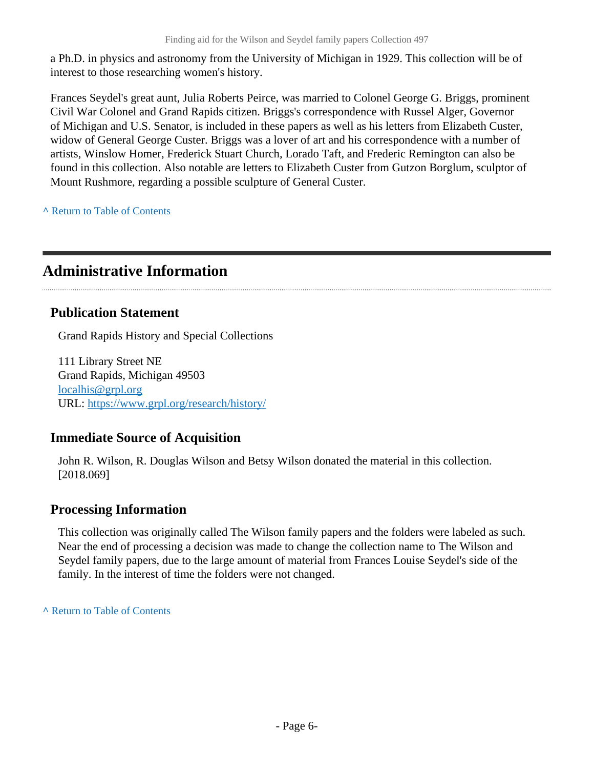a Ph.D. in physics and astronomy from the University of Michigan in 1929. This collection will be of interest to those researching women's history.

Frances Seydel's great aunt, Julia Roberts Peirce, was married to Colonel George G. Briggs, prominent Civil War Colonel and Grand Rapids citizen. Briggs's correspondence with Russel Alger, Governor of Michigan and U.S. Senator, is included in these papers as well as his letters from Elizabeth Custer, widow of General George Custer. Briggs was a lover of art and his correspondence with a number of artists, Winslow Homer, Frederick Stuart Church, Lorado Taft, and Frederic Remington can also be found in this collection. Also notable are letters to Elizabeth Custer from Gutzon Borglum, sculptor of Mount Rushmore, regarding a possible sculpture of General Custer.

**^** [Return to Table of Contents](#page-1-0)

# <span id="page-5-0"></span>**Administrative Information**

### **Publication Statement**

Grand Rapids History and Special Collections

111 Library Street NE Grand Rapids, Michigan 49503 [localhis@grpl.org](mailto:localhis@grpl.org) URL:<https://www.grpl.org/research/history/>

### **Immediate Source of Acquisition**

John R. Wilson, R. Douglas Wilson and Betsy Wilson donated the material in this collection. [2018.069]

### **Processing Information**

This collection was originally called The Wilson family papers and the folders were labeled as such. Near the end of processing a decision was made to change the collection name to The Wilson and Seydel family papers, due to the large amount of material from Frances Louise Seydel's side of the family. In the interest of time the folders were not changed.

**^** [Return to Table of Contents](#page-1-0)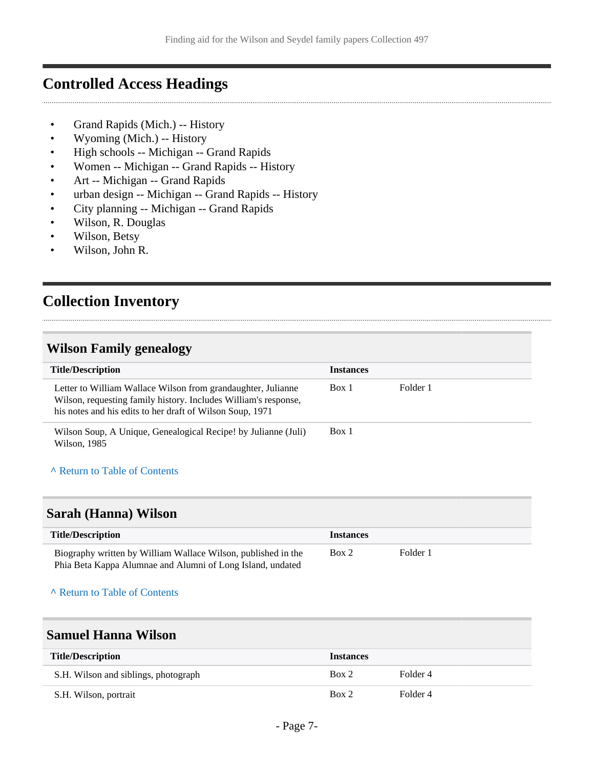## <span id="page-6-0"></span>**Controlled Access Headings**

- Grand Rapids (Mich.) -- History
- Wyoming (Mich.) -- History
- High schools -- Michigan -- Grand Rapids
- Women -- Michigan -- Grand Rapids -- History
- Art -- Michigan -- Grand Rapids
- urban design -- Michigan -- Grand Rapids -- History
- City planning -- Michigan -- Grand Rapids
- Wilson, R. Douglas
- Wilson, Betsy
- Wilson, John R.

# <span id="page-6-1"></span>**Collection Inventory**

### <span id="page-6-2"></span>**Wilson Family genealogy**

| <b>Title/Description</b>                                                                                                                                                                     | <b>Instances</b> |          |
|----------------------------------------------------------------------------------------------------------------------------------------------------------------------------------------------|------------------|----------|
| Letter to William Wallace Wilson from grandaughter, Julianne<br>Wilson, requesting family history. Includes William's response,<br>his notes and his edits to her draft of Wilson Soup, 1971 | Box 1            | Folder 1 |
| Wilson Soup, A Unique, Genealogical Recipe! by Julianne (Juli)<br>Wilson, 1985                                                                                                               | Box 1            |          |

### **^** [Return to Table of Contents](#page-1-0)

### <span id="page-6-3"></span>**Sarah (Hanna) Wilson**

| <b>Title/Description</b>                                                                                                    | <i><u><b>Instances</b></u></i> |          |  |
|-----------------------------------------------------------------------------------------------------------------------------|--------------------------------|----------|--|
| Biography written by William Wallace Wilson, published in the<br>Phia Beta Kappa Alumnae and Alumni of Long Island, undated | Box 2                          | Folder 1 |  |

#### **^** [Return to Table of Contents](#page-1-0)

### <span id="page-6-4"></span>**Samuel Hanna Wilson**

| <b>Title/Description</b>             | <b>Instances</b> |          |
|--------------------------------------|------------------|----------|
| S.H. Wilson and siblings, photograph | Box 2            | Folder 4 |
| S.H. Wilson, portrait                | Box 2            | Folder 4 |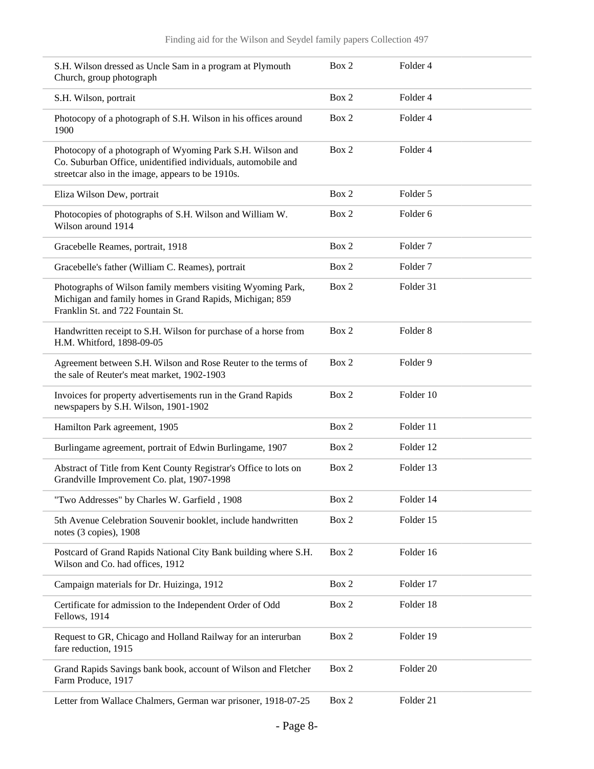| S.H. Wilson dressed as Uncle Sam in a program at Plymouth<br>Church, group photograph                                                                                           | Box 2 | Folder 4            |  |
|---------------------------------------------------------------------------------------------------------------------------------------------------------------------------------|-------|---------------------|--|
| S.H. Wilson, portrait                                                                                                                                                           | Box 2 | Folder 4            |  |
| Photocopy of a photograph of S.H. Wilson in his offices around<br>1900                                                                                                          | Box 2 | Folder 4            |  |
| Photocopy of a photograph of Wyoming Park S.H. Wilson and<br>Co. Suburban Office, unidentified individuals, automobile and<br>streetcar also in the image, appears to be 1910s. | Box 2 | Folder 4            |  |
| Eliza Wilson Dew, portrait                                                                                                                                                      | Box 2 | Folder 5            |  |
| Photocopies of photographs of S.H. Wilson and William W.<br>Wilson around 1914                                                                                                  | Box 2 | Folder <sub>6</sub> |  |
| Gracebelle Reames, portrait, 1918                                                                                                                                               | Box 2 | Folder <sub>7</sub> |  |
| Gracebelle's father (William C. Reames), portrait                                                                                                                               | Box 2 | Folder <sub>7</sub> |  |
| Photographs of Wilson family members visiting Wyoming Park,<br>Michigan and family homes in Grand Rapids, Michigan; 859<br>Franklin St. and 722 Fountain St.                    | Box 2 | Folder 31           |  |
| Handwritten receipt to S.H. Wilson for purchase of a horse from<br>H.M. Whitford, 1898-09-05                                                                                    | Box 2 | Folder <sub>8</sub> |  |
| Agreement between S.H. Wilson and Rose Reuter to the terms of<br>the sale of Reuter's meat market, 1902-1903                                                                    | Box 2 | Folder 9            |  |
| Invoices for property advertisements run in the Grand Rapids<br>newspapers by S.H. Wilson, 1901-1902                                                                            | Box 2 | Folder 10           |  |
| Hamilton Park agreement, 1905                                                                                                                                                   | Box 2 | Folder 11           |  |
| Burlingame agreement, portrait of Edwin Burlingame, 1907                                                                                                                        | Box 2 | Folder 12           |  |
| Abstract of Title from Kent County Registrar's Office to lots on<br>Grandville Improvement Co. plat, 1907-1998                                                                  | Box 2 | Folder 13           |  |
| "Two Addresses" by Charles W. Garfield, 1908                                                                                                                                    | Box 2 | Folder 14           |  |
| 5th Avenue Celebration Souvenir booklet, include handwritten<br>notes (3 copies), 1908                                                                                          | Box 2 | Folder 15           |  |
| Postcard of Grand Rapids National City Bank building where S.H.<br>Wilson and Co. had offices, 1912                                                                             | Box 2 | Folder 16           |  |
| Campaign materials for Dr. Huizinga, 1912                                                                                                                                       | Box 2 | Folder 17           |  |
| Certificate for admission to the Independent Order of Odd<br>Fellows, 1914                                                                                                      | Box 2 | Folder 18           |  |
| Request to GR, Chicago and Holland Railway for an interurban<br>fare reduction, 1915                                                                                            | Box 2 | Folder 19           |  |
| Grand Rapids Savings bank book, account of Wilson and Fletcher<br>Farm Produce, 1917                                                                                            | Box 2 | Folder 20           |  |
| Letter from Wallace Chalmers, German war prisoner, 1918-07-25                                                                                                                   | Box 2 | Folder 21           |  |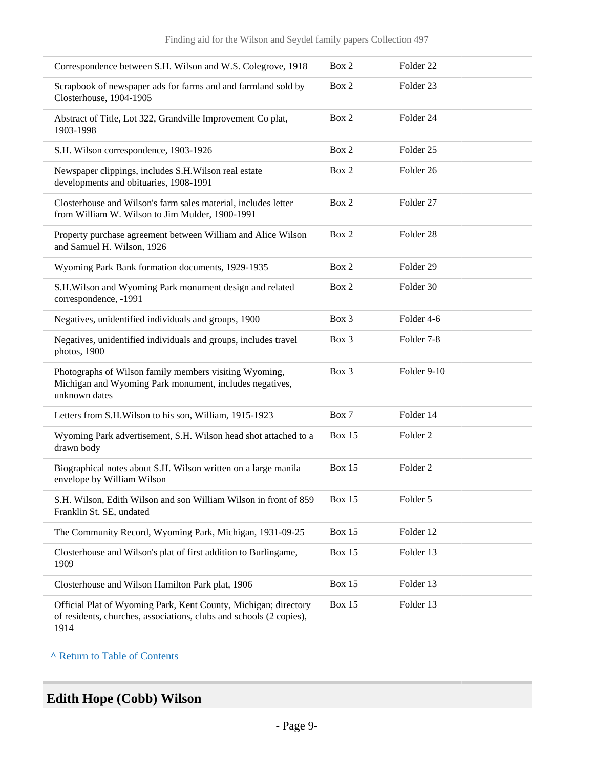| Correspondence between S.H. Wilson and W.S. Colegrove, 1918                                                                                    | Box 2         | Folder <sub>22</sub> |
|------------------------------------------------------------------------------------------------------------------------------------------------|---------------|----------------------|
| Scrapbook of newspaper ads for farms and and farmland sold by<br>Closterhouse, 1904-1905                                                       | Box 2         | Folder <sub>23</sub> |
| Abstract of Title, Lot 322, Grandville Improvement Co plat,<br>1903-1998                                                                       | Box 2         | Folder 24            |
| S.H. Wilson correspondence, 1903-1926                                                                                                          | Box 2         | Folder <sub>25</sub> |
| Newspaper clippings, includes S.H. Wilson real estate<br>developments and obituaries, 1908-1991                                                | Box 2         | Folder <sub>26</sub> |
| Closterhouse and Wilson's farm sales material, includes letter<br>from William W. Wilson to Jim Mulder, 1900-1991                              | Box 2         | Folder 27            |
| Property purchase agreement between William and Alice Wilson<br>and Samuel H. Wilson, 1926                                                     | Box 2         | Folder <sub>28</sub> |
| Wyoming Park Bank formation documents, 1929-1935                                                                                               | Box 2         | Folder 29            |
| S.H. Wilson and Wyoming Park monument design and related<br>correspondence, -1991                                                              | Box 2         | Folder 30            |
| Negatives, unidentified individuals and groups, 1900                                                                                           | Box 3         | Folder 4-6           |
| Negatives, unidentified individuals and groups, includes travel<br>photos, 1900                                                                | Box 3         | Folder 7-8           |
| Photographs of Wilson family members visiting Wyoming,<br>Michigan and Wyoming Park monument, includes negatives,<br>unknown dates             | Box 3         | Folder 9-10          |
| Letters from S.H. Wilson to his son, William, 1915-1923                                                                                        | Box 7         | Folder 14            |
| Wyoming Park advertisement, S.H. Wilson head shot attached to a<br>drawn body                                                                  | <b>Box 15</b> | Folder <sub>2</sub>  |
| Biographical notes about S.H. Wilson written on a large manila<br>envelope by William Wilson                                                   | <b>Box 15</b> | Folder <sub>2</sub>  |
| S.H. Wilson, Edith Wilson and son William Wilson in front of 859<br>Franklin St. SE, undated                                                   | <b>Box 15</b> | Folder 5             |
| The Community Record, Wyoming Park, Michigan, 1931-09-25                                                                                       | Box 15        | Folder 12            |
| Closterhouse and Wilson's plat of first addition to Burlingame,<br>1909                                                                        | Box 15        | Folder 13            |
| Closterhouse and Wilson Hamilton Park plat, 1906                                                                                               | <b>Box 15</b> | Folder 13            |
| Official Plat of Wyoming Park, Kent County, Michigan; directory<br>of residents, churches, associations, clubs and schools (2 copies),<br>1914 | <b>Box 15</b> | Folder 13            |

# <span id="page-8-0"></span>**Edith Hope (Cobb) Wilson**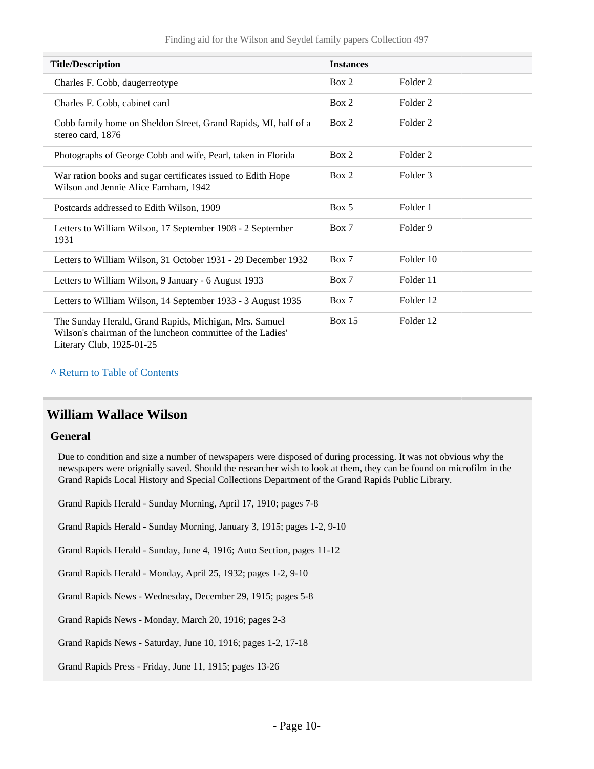| <b>Title/Description</b>                                                                                                                          | <b>Instances</b> |                     |
|---------------------------------------------------------------------------------------------------------------------------------------------------|------------------|---------------------|
| Charles F. Cobb, daugerreotype                                                                                                                    | Box 2            | Folder <sub>2</sub> |
| Charles F. Cobb, cabinet card                                                                                                                     | Box 2            | Folder <sub>2</sub> |
| Cobb family home on Sheldon Street, Grand Rapids, MI, half of a<br>stereo card, 1876                                                              | Box 2            | Folder <sub>2</sub> |
| Photographs of George Cobb and wife, Pearl, taken in Florida                                                                                      | Box 2            | Folder 2            |
| War ration books and sugar certificates issued to Edith Hope<br>Wilson and Jennie Alice Farnham, 1942                                             | Box 2            | Folder 3            |
| Postcards addressed to Edith Wilson, 1909                                                                                                         | Box 5            | Folder 1            |
| Letters to William Wilson, 17 September 1908 - 2 September<br>1931                                                                                | Box 7            | Folder 9            |
| Letters to William Wilson, 31 October 1931 - 29 December 1932                                                                                     | Box 7            | Folder 10           |
| Letters to William Wilson, 9 January - 6 August 1933                                                                                              | Box 7            | Folder 11           |
| Letters to William Wilson, 14 September 1933 - 3 August 1935                                                                                      | Box 7            | Folder 12           |
| The Sunday Herald, Grand Rapids, Michigan, Mrs. Samuel<br>Wilson's chairman of the luncheon committee of the Ladies'<br>Literary Club, 1925-01-25 | <b>Box 15</b>    | Folder 12           |

### <span id="page-9-0"></span>**William Wallace Wilson**

#### **General**

Due to condition and size a number of newspapers were disposed of during processing. It was not obvious why the newspapers were orignially saved. Should the researcher wish to look at them, they can be found on microfilm in the Grand Rapids Local History and Special Collections Department of the Grand Rapids Public Library.

Grand Rapids Herald - Sunday Morning, April 17, 1910; pages 7-8

Grand Rapids Herald - Sunday Morning, January 3, 1915; pages 1-2, 9-10

Grand Rapids Herald - Sunday, June 4, 1916; Auto Section, pages 11-12

Grand Rapids Herald - Monday, April 25, 1932; pages 1-2, 9-10

Grand Rapids News - Wednesday, December 29, 1915; pages 5-8

Grand Rapids News - Monday, March 20, 1916; pages 2-3

Grand Rapids News - Saturday, June 10, 1916; pages 1-2, 17-18

Grand Rapids Press - Friday, June 11, 1915; pages 13-26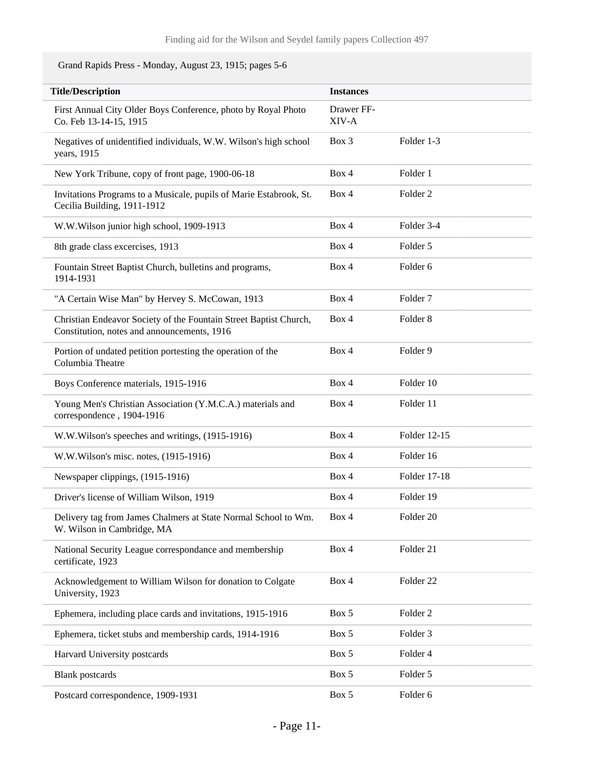Grand Rapids Press - Monday, August 23, 1915; pages 5-6

| <b>Title/Description</b>                                                                                         | <b>Instances</b>    |                     |
|------------------------------------------------------------------------------------------------------------------|---------------------|---------------------|
| First Annual City Older Boys Conference, photo by Royal Photo<br>Co. Feb 13-14-15, 1915                          | Drawer FF-<br>XIV-A |                     |
| Negatives of unidentified individuals, W.W. Wilson's high school<br>years, 1915                                  | Box 3               | Folder 1-3          |
| New York Tribune, copy of front page, 1900-06-18                                                                 | Box 4               | Folder 1            |
| Invitations Programs to a Musicale, pupils of Marie Estabrook, St.<br>Cecilia Building, 1911-1912                | Box 4               | Folder <sub>2</sub> |
| W.W.Wilson junior high school, 1909-1913                                                                         | Box 4               | Folder 3-4          |
| 8th grade class excercises, 1913                                                                                 | Box 4               | Folder 5            |
| Fountain Street Baptist Church, bulletins and programs,<br>1914-1931                                             | Box 4               | Folder <sub>6</sub> |
| "A Certain Wise Man" by Hervey S. McCowan, 1913                                                                  | Box 4               | Folder <sub>7</sub> |
| Christian Endeavor Society of the Fountain Street Baptist Church,<br>Constitution, notes and announcements, 1916 | Box 4               | Folder <sub>8</sub> |
| Portion of undated petition portesting the operation of the<br>Columbia Theatre                                  | Box 4               | Folder 9            |
| Boys Conference materials, 1915-1916                                                                             | Box 4               | Folder 10           |
| Young Men's Christian Association (Y.M.C.A.) materials and<br>correspondence, 1904-1916                          | Box 4               | Folder 11           |
| W.W.Wilson's speeches and writings, (1915-1916)                                                                  | Box 4               | Folder 12-15        |
| W.W. Wilson's misc. notes, (1915-1916)                                                                           | Box 4               | Folder 16           |
| Newspaper clippings, (1915-1916)                                                                                 | Box 4               | Folder 17-18        |
| Driver's license of William Wilson, 1919                                                                         | Box 4               | Folder 19           |
| Delivery tag from James Chalmers at State Normal School to Wm.<br>W. Wilson in Cambridge, MA                     | Box 4               | Folder 20           |
| National Security League correspondance and membership<br>certificate, 1923                                      | Box 4               | Folder 21           |
| Acknowledgement to William Wilson for donation to Colgate<br>University, 1923                                    | Box 4               | Folder 22           |
| Ephemera, including place cards and invitations, 1915-1916                                                       | Box 5               | Folder <sub>2</sub> |
| Ephemera, ticket stubs and membership cards, 1914-1916                                                           | Box 5               | Folder 3            |
| Harvard University postcards                                                                                     | Box 5               | Folder 4            |
| <b>Blank</b> postcards                                                                                           | Box 5               | Folder 5            |
| Postcard correspondence, 1909-1931                                                                               | Box 5               | Folder 6            |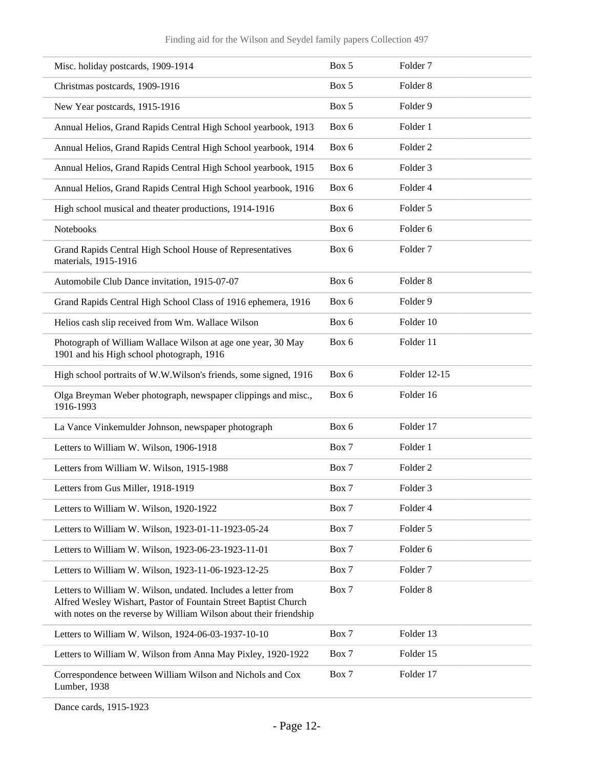| Misc. holiday postcards, 1909-1914                                                                                                                                                                     | Box 5 | Folder <sub>7</sub> |
|--------------------------------------------------------------------------------------------------------------------------------------------------------------------------------------------------------|-------|---------------------|
| Christmas postcards, 1909-1916                                                                                                                                                                         | Box 5 | Folder <sub>8</sub> |
| New Year postcards, 1915-1916                                                                                                                                                                          | Box 5 | Folder 9            |
| Annual Helios, Grand Rapids Central High School yearbook, 1913                                                                                                                                         | Box 6 | Folder 1            |
| Annual Helios, Grand Rapids Central High School yearbook, 1914                                                                                                                                         | Box 6 | Folder <sub>2</sub> |
| Annual Helios, Grand Rapids Central High School yearbook, 1915                                                                                                                                         | Box 6 | Folder <sub>3</sub> |
| Annual Helios, Grand Rapids Central High School yearbook, 1916                                                                                                                                         | Box 6 | Folder 4            |
| High school musical and theater productions, 1914-1916                                                                                                                                                 | Box 6 | Folder 5            |
| Notebooks                                                                                                                                                                                              | Box 6 | Folder 6            |
| Grand Rapids Central High School House of Representatives<br>materials, 1915-1916                                                                                                                      | Box 6 | Folder <sub>7</sub> |
| Automobile Club Dance invitation, 1915-07-07                                                                                                                                                           | Box 6 | Folder <sub>8</sub> |
| Grand Rapids Central High School Class of 1916 ephemera, 1916                                                                                                                                          | Box 6 | Folder 9            |
| Helios cash slip received from Wm. Wallace Wilson                                                                                                                                                      | Box 6 | Folder 10           |
| Photograph of William Wallace Wilson at age one year, 30 May<br>1901 and his High school photograph, 1916                                                                                              | Box 6 | Folder 11           |
| High school portraits of W.W.Wilson's friends, some signed, 1916                                                                                                                                       | Box 6 | Folder 12-15        |
| Olga Breyman Weber photograph, newspaper clippings and misc.,<br>1916-1993                                                                                                                             | Box 6 | Folder 16           |
| La Vance Vinkemulder Johnson, newspaper photograph                                                                                                                                                     | Box 6 | Folder 17           |
| Letters to William W. Wilson, 1906-1918                                                                                                                                                                | Box 7 | Folder 1            |
| Letters from William W. Wilson, 1915-1988                                                                                                                                                              | Box 7 | Folder <sub>2</sub> |
| Letters from Gus Miller, 1918-1919                                                                                                                                                                     | Box 7 | Folder 3            |
| Letters to William W. Wilson, 1920-1922                                                                                                                                                                | Box 7 | Folder 4            |
| Letters to William W. Wilson, 1923-01-11-1923-05-24                                                                                                                                                    | Box 7 | Folder 5            |
| Letters to William W. Wilson, 1923-06-23-1923-11-01                                                                                                                                                    | Box 7 | Folder 6            |
| Letters to William W. Wilson, 1923-11-06-1923-12-25                                                                                                                                                    | Box 7 | Folder <sub>7</sub> |
| Letters to William W. Wilson, undated. Includes a letter from<br>Alfred Wesley Wishart, Pastor of Fountain Street Baptist Church<br>with notes on the reverse by William Wilson about their friendship | Box 7 | Folder <sub>8</sub> |
| Letters to William W. Wilson, 1924-06-03-1937-10-10                                                                                                                                                    | Box 7 | Folder 13           |
| Letters to William W. Wilson from Anna May Pixley, 1920-1922                                                                                                                                           | Box 7 | Folder 15           |
| Correspondence between William Wilson and Nichols and Cox<br>Lumber, 1938                                                                                                                              | Box 7 | Folder 17           |

Dance cards, 1915-1923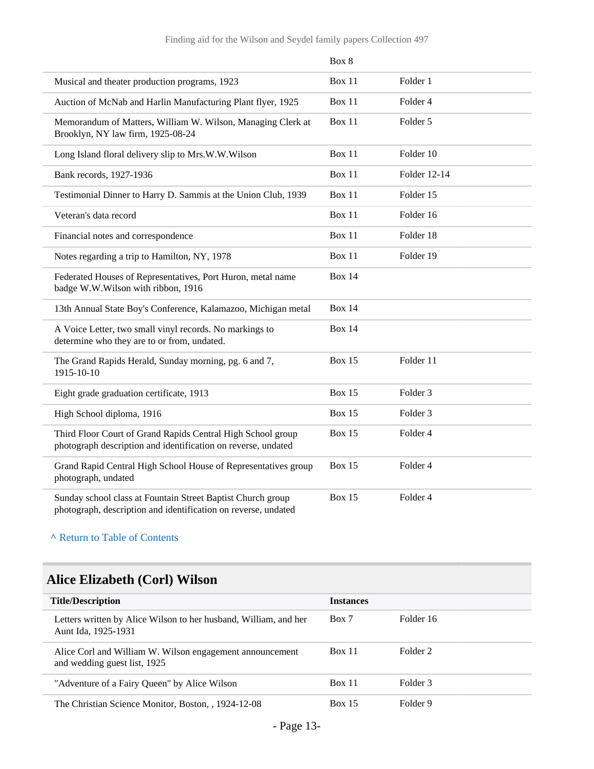|                                                                                                                               | Box 8         |                     |
|-------------------------------------------------------------------------------------------------------------------------------|---------------|---------------------|
| Musical and theater production programs, 1923                                                                                 | Box 11        | Folder 1            |
| Auction of McNab and Harlin Manufacturing Plant flyer, 1925                                                                   | Box 11        | Folder 4            |
| Memorandum of Matters, William W. Wilson, Managing Clerk at<br>Brooklyn, NY law firm, 1925-08-24                              | Box 11        | Folder 5            |
| Long Island floral delivery slip to Mrs.W.W.Wilson                                                                            | <b>Box 11</b> | Folder 10           |
| Bank records, 1927-1936                                                                                                       | Box 11        | Folder 12-14        |
| Testimonial Dinner to Harry D. Sammis at the Union Club, 1939                                                                 | Box 11        | Folder 15           |
| Veteran's data record                                                                                                         | <b>Box 11</b> | Folder 16           |
| Financial notes and correspondence                                                                                            | Box 11        | Folder 18           |
| Notes regarding a trip to Hamilton, NY, 1978                                                                                  | Box 11        | Folder 19           |
| Federated Houses of Representatives, Port Huron, metal name<br>badge W.W.Wilson with ribbon, 1916                             | <b>Box 14</b> |                     |
| 13th Annual State Boy's Conference, Kalamazoo, Michigan metal                                                                 | <b>Box 14</b> |                     |
| A Voice Letter, two small vinyl records. No markings to<br>determine who they are to or from, undated.                        | <b>Box 14</b> |                     |
| The Grand Rapids Herald, Sunday morning, pg. 6 and 7,<br>1915-10-10                                                           | <b>Box 15</b> | Folder 11           |
| Eight grade graduation certificate, 1913                                                                                      | <b>Box 15</b> | Folder <sub>3</sub> |
| High School diploma, 1916                                                                                                     | <b>Box 15</b> | Folder <sub>3</sub> |
| Third Floor Court of Grand Rapids Central High School group<br>photograph description and identification on reverse, undated  | <b>Box 15</b> | Folder 4            |
| Grand Rapid Central High School House of Representatives group<br>photograph, undated                                         | <b>Box 15</b> | Folder 4            |
| Sunday school class at Fountain Street Baptist Church group<br>photograph, description and identification on reverse, undated | <b>Box 15</b> | Folder 4            |

# <span id="page-12-0"></span>**Alice Elizabeth (Corl) Wilson**

| <b>Title/Description</b>                                                                 | <b>Instances</b> |           |
|------------------------------------------------------------------------------------------|------------------|-----------|
| Letters written by Alice Wilson to her husband, William, and her<br>Aunt Ida, 1925-1931  | Box 7            | Folder 16 |
| Alice Corl and William W. Wilson engagement announcement<br>and wedding guest list, 1925 | <b>Box 11</b>    | Folder 2  |
| "Adventure of a Fairy Queen" by Alice Wilson                                             | Box 11           | Folder 3  |
| The Christian Science Monitor, Boston, 1924-12-08                                        | <b>Box 15</b>    | Folder 9  |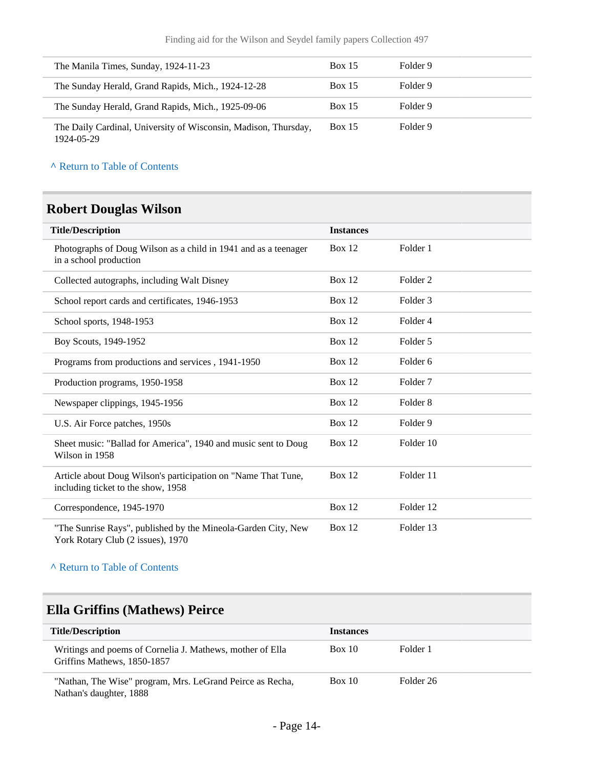| The Manila Times, Sunday, 1924-11-23                                          | <b>Box 15</b> | Folder 9 |
|-------------------------------------------------------------------------------|---------------|----------|
| The Sunday Herald, Grand Rapids, Mich., 1924-12-28                            | Box 15        | Folder 9 |
| The Sunday Herald, Grand Rapids, Mich., 1925-09-06                            | <b>Box 15</b> | Folder 9 |
| The Daily Cardinal, University of Wisconsin, Madison, Thursday,<br>1924-05-29 | <b>Box 15</b> | Folder 9 |

### <span id="page-13-0"></span>**Robert Douglas Wilson**

| <b>Title/Description</b>                                                                            | <b>Instances</b> |                     |
|-----------------------------------------------------------------------------------------------------|------------------|---------------------|
| Photographs of Doug Wilson as a child in 1941 and as a teenager<br>in a school production           | Box $12$         | Folder 1            |
| Collected autographs, including Walt Disney                                                         | Box 12           | Folder 2            |
| School report cards and certificates, 1946-1953                                                     | <b>Box 12</b>    | Folder <sub>3</sub> |
| School sports, 1948-1953                                                                            | <b>Box 12</b>    | Folder 4            |
| Boy Scouts, 1949-1952                                                                               | <b>Box 12</b>    | Folder 5            |
| Programs from productions and services, 1941-1950                                                   | <b>Box 12</b>    | Folder 6            |
| Production programs, 1950-1958                                                                      | <b>Box 12</b>    | Folder <sub>7</sub> |
| Newspaper clippings, 1945-1956                                                                      | <b>Box 12</b>    | Folder <sub>8</sub> |
| U.S. Air Force patches, 1950s                                                                       | <b>Box 12</b>    | Folder 9            |
| Sheet music: "Ballad for America", 1940 and music sent to Doug<br>Wilson in 1958                    | Box $12$         | Folder 10           |
| Article about Doug Wilson's participation on "Name That Tune,<br>including ticket to the show, 1958 | <b>Box 12</b>    | Folder 11           |
| Correspondence, 1945-1970                                                                           | <b>Box 12</b>    | Folder 12           |
| "The Sunrise Rays", published by the Mineola-Garden City, New<br>York Rotary Club (2 issues), 1970  | Box $12$         | Folder 13           |

**^** [Return to Table of Contents](#page-1-0)

### <span id="page-13-1"></span>**Ella Griffins (Mathews) Peirce**

| <b>Title/Description</b>                                                                 | <b>Instances</b> |           |
|------------------------------------------------------------------------------------------|------------------|-----------|
| Writings and poems of Cornelia J. Mathews, mother of Ella<br>Griffins Mathews, 1850-1857 | Box 10           | Folder 1  |
| "Nathan, The Wise" program, Mrs. LeGrand Peirce as Recha,<br>Nathan's daughter, 1888     | Box 10           | Folder 26 |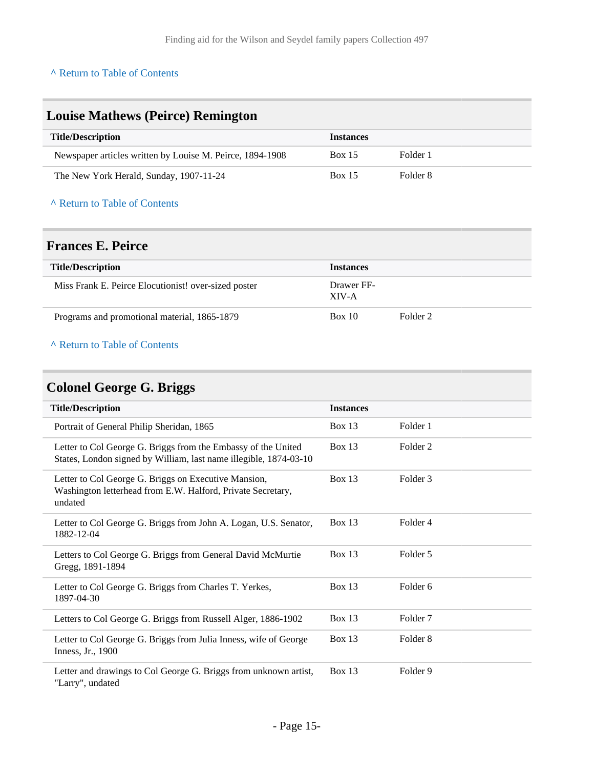<span id="page-14-0"></span>

| <b>Louise Mathews (Peirce) Remington</b>                  |                  |          |  |
|-----------------------------------------------------------|------------------|----------|--|
| <b>Title/Description</b>                                  | <b>Instances</b> |          |  |
| Newspaper articles written by Louise M. Peirce, 1894-1908 | Box 15           | Folder 1 |  |
| The New York Herald, Sunday, 1907-11-24                   | Box 15           | Folder 8 |  |
| A Return to Table of Contents                             |                  |          |  |

### <span id="page-14-1"></span>**Frances E. Peirce**

| <b>Title/Description</b>                             | <b>Instances</b>    |          |
|------------------------------------------------------|---------------------|----------|
| Miss Frank E. Peirce Elocutionist! over-sized poster | Drawer FF-<br>XIV-A |          |
| Programs and promotional material, 1865-1879         | Box 10              | Folder 2 |

### **^** [Return to Table of Contents](#page-1-0)

# <span id="page-14-2"></span>**Colonel George G. Briggs**

| <b>Title/Description</b>                                                                                                           | <b>Instances</b> |                     |
|------------------------------------------------------------------------------------------------------------------------------------|------------------|---------------------|
| Portrait of General Philip Sheridan, 1865                                                                                          | <b>Box 13</b>    | Folder 1            |
| Letter to Col George G. Briggs from the Embassy of the United<br>States, London signed by William, last name illegible, 1874-03-10 | Box $13$         | Folder 2            |
| Letter to Col George G. Briggs on Executive Mansion,<br>Washington letterhead from E.W. Halford, Private Secretary,<br>undated     | Box $13$         | Folder <sub>3</sub> |
| Letter to Col George G. Briggs from John A. Logan, U.S. Senator,<br>1882-12-04                                                     | Box $13$         | Folder 4            |
| Letters to Col George G. Briggs from General David McMurtie<br>Gregg, 1891-1894                                                    | <b>Box 13</b>    | Folder 5            |
| Letter to Col George G. Briggs from Charles T. Yerkes,<br>1897-04-30                                                               | <b>Box 13</b>    | Folder <sub>6</sub> |
| Letters to Col George G. Briggs from Russell Alger, 1886-1902                                                                      | <b>Box 13</b>    | Folder <sub>7</sub> |
| Letter to Col George G. Briggs from Julia Inness, wife of George<br>Inness, Jr., 1900                                              | <b>Box 13</b>    | Folder 8            |
| Letter and drawings to Col George G. Briggs from unknown artist,<br>"Larry", undated                                               | Box 13           | Folder 9            |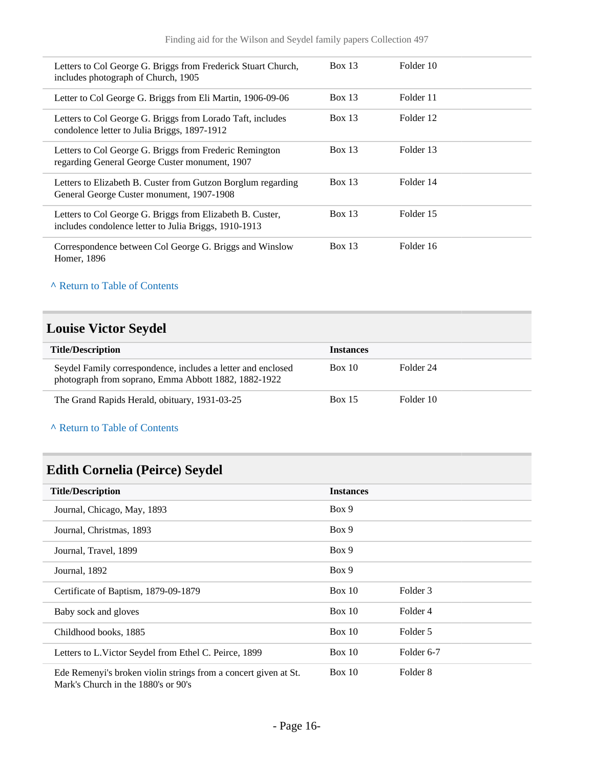| Letters to Col George G. Briggs from Frederick Stuart Church,<br>includes photograph of Church, 1905               | <b>Box 13</b> | Folder 10 |
|--------------------------------------------------------------------------------------------------------------------|---------------|-----------|
| Letter to Col George G. Briggs from Eli Martin, 1906-09-06                                                         | Box 13        | Folder 11 |
| Letters to Col George G. Briggs from Lorado Taft, includes<br>condolence letter to Julia Briggs, 1897-1912         | <b>Box 13</b> | Folder 12 |
| Letters to Col George G. Briggs from Frederic Remington<br>regarding General George Custer monument, 1907          | Box 13        | Folder 13 |
| Letters to Elizabeth B. Custer from Gutzon Borglum regarding<br>General George Custer monument, 1907-1908          | Box 13        | Folder 14 |
| Letters to Col George G. Briggs from Elizabeth B. Custer,<br>includes condolence letter to Julia Briggs, 1910-1913 | Box 13        | Folder 15 |
| Correspondence between Col George G. Briggs and Winslow<br>Homer, 1896                                             | Box 13        | Folder 16 |

# <span id="page-15-0"></span>**Louise Victor Seydel**

| <b>Title/Description</b>                                                                                             | <b>Instances</b> |           |
|----------------------------------------------------------------------------------------------------------------------|------------------|-----------|
| Seydel Family correspondence, includes a letter and enclosed<br>photograph from soprano, Emma Abbott 1882, 1882-1922 | Box 10           | Folder 24 |
| The Grand Rapids Herald, obituary, 1931-03-25                                                                        | <b>Box 15</b>    | Folder 10 |

**^** [Return to Table of Contents](#page-1-0)

# <span id="page-15-1"></span>**Edith Cornelia (Peirce) Seydel**

| <b>Title/Description</b>                                                                               | <b>Instances</b> |            |
|--------------------------------------------------------------------------------------------------------|------------------|------------|
| Journal, Chicago, May, 1893                                                                            | Box 9            |            |
| Journal, Christmas, 1893                                                                               | Box 9            |            |
| Journal, Travel, 1899                                                                                  | Box 9            |            |
| Journal, 1892                                                                                          | Box 9            |            |
| Certificate of Baptism, 1879-09-1879                                                                   | Box 10           | Folder 3   |
| Baby sock and gloves                                                                                   | Box 10           | Folder 4   |
| Childhood books, 1885                                                                                  | Box $10$         | Folder 5   |
| Letters to L.Victor Seydel from Ethel C. Peirce, 1899                                                  | Box 10           | Folder 6-7 |
| Ede Remenyi's broken violin strings from a concert given at St.<br>Mark's Church in the 1880's or 90's | Box 10           | Folder 8   |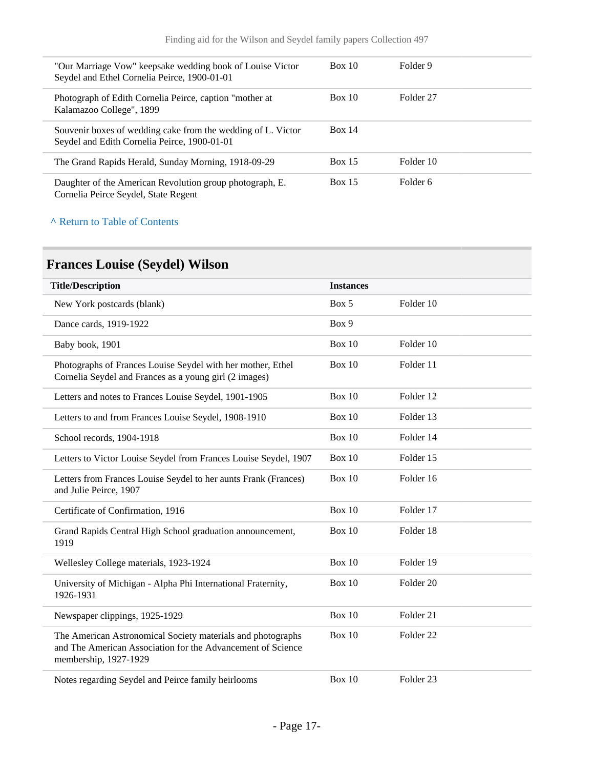| "Our Marriage Vow" keepsake wedding book of Louise Victor<br>Seydel and Ethel Cornelia Peirce, 1900-01-01    | Box 10 | Folder 9  |
|--------------------------------------------------------------------------------------------------------------|--------|-----------|
| Photograph of Edith Cornelia Peirce, caption "mother at<br>Kalamazoo College", 1899                          | Box 10 | Folder 27 |
| Souvenir boxes of wedding cake from the wedding of L. Victor<br>Seydel and Edith Cornelia Peirce, 1900-01-01 | Box 14 |           |
| The Grand Rapids Herald, Sunday Morning, 1918-09-29                                                          | Box 15 | Folder 10 |
| Daughter of the American Revolution group photograph, E.<br>Cornelia Peirce Seydel, State Regent             | Box 15 | Folder 6  |

# <span id="page-16-0"></span>**Frances Louise (Seydel) Wilson**

| <b>Title/Description</b>                                                                                                                            | <b>Instances</b> |                      |
|-----------------------------------------------------------------------------------------------------------------------------------------------------|------------------|----------------------|
| New York postcards (blank)                                                                                                                          | Box 5            | Folder 10            |
| Dance cards, 1919-1922                                                                                                                              | Box 9            |                      |
| Baby book, 1901                                                                                                                                     | <b>Box 10</b>    | Folder 10            |
| Photographs of Frances Louise Seydel with her mother, Ethel<br>Cornelia Seydel and Frances as a young girl (2 images)                               | Box 10           | Folder 11            |
| Letters and notes to Frances Louise Seydel, 1901-1905                                                                                               | Box 10           | Folder 12            |
| Letters to and from Frances Louise Seydel, 1908-1910                                                                                                | Box 10           | Folder 13            |
| School records, 1904-1918                                                                                                                           | Box 10           | Folder 14            |
| Letters to Victor Louise Seydel from Frances Louise Seydel, 1907                                                                                    | Box 10           | Folder 15            |
| Letters from Frances Louise Seydel to her aunts Frank (Frances)<br>and Julie Peirce, 1907                                                           | Box 10           | Folder 16            |
| Certificate of Confirmation, 1916                                                                                                                   | Box 10           | Folder 17            |
| Grand Rapids Central High School graduation announcement,<br>1919                                                                                   | <b>Box 10</b>    | Folder 18            |
| Wellesley College materials, 1923-1924                                                                                                              | Box 10           | Folder 19            |
| University of Michigan - Alpha Phi International Fraternity,<br>1926-1931                                                                           | <b>Box 10</b>    | Folder 20            |
| Newspaper clippings, 1925-1929                                                                                                                      | <b>Box 10</b>    | Folder 21            |
| The American Astronomical Society materials and photographs<br>and The American Association for the Advancement of Science<br>membership, 1927-1929 | Box 10           | Folder <sub>22</sub> |
| Notes regarding Seydel and Peirce family heirlooms                                                                                                  | Box 10           | Folder <sub>23</sub> |